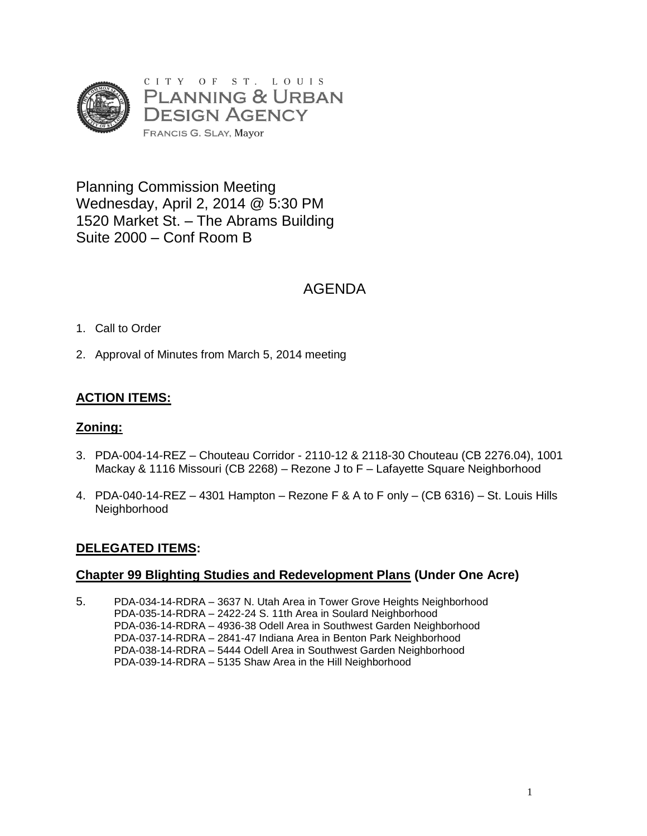

Planning Commission Meeting Wednesday, April 2, 2014 @ 5:30 PM 1520 Market St. – The Abrams Building Suite 2000 – Conf Room B

# AGENDA

### 1. Call to Order

2. Approval of Minutes from March 5, 2014 meeting

## **ACTION ITEMS:**

#### **Zoning:**

- 3. PDA-004-14-REZ Chouteau Corridor 2110-12 & 2118-30 Chouteau (CB 2276.04), 1001 Mackay & 1116 Missouri (CB 2268) – Rezone J to F – Lafayette Square Neighborhood
- 4. PDA-040-14-REZ 4301 Hampton Rezone F & A to F only (CB 6316) St. Louis Hills Neighborhood

### **DELEGATED ITEMS:**

#### **Chapter 99 Blighting Studies and Redevelopment Plans (Under One Acre)**

5. PDA-034-14-RDRA – 3637 N. Utah Area in Tower Grove Heights Neighborhood PDA-035-14-RDRA – 2422-24 S. 11th Area in Soulard Neighborhood PDA-036-14-RDRA – 4936-38 Odell Area in Southwest Garden Neighborhood PDA-037-14-RDRA – 2841-47 Indiana Area in Benton Park Neighborhood PDA-038-14-RDRA – 5444 Odell Area in Southwest Garden Neighborhood PDA-039-14-RDRA – 5135 Shaw Area in the Hill Neighborhood